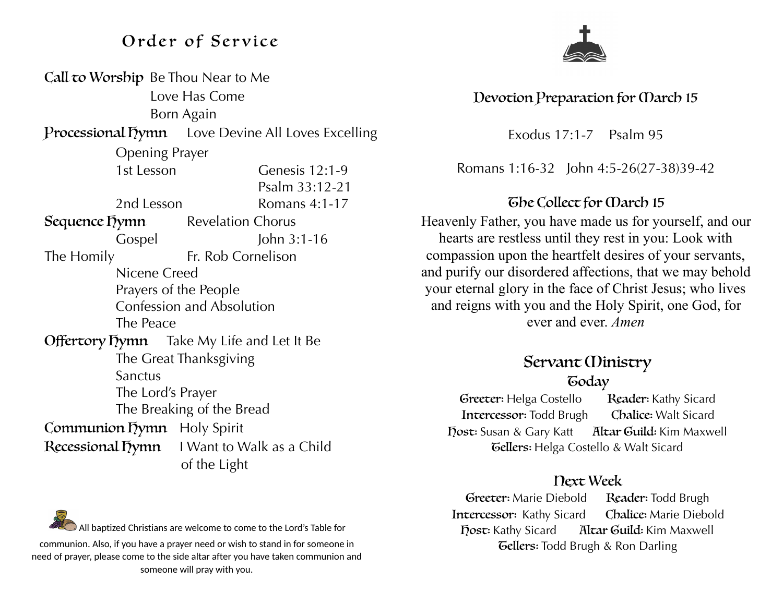## Order of Service

| Call to Worship Be Thou Near to Me                       |                                                  |
|----------------------------------------------------------|--------------------------------------------------|
| Love Has Come                                            |                                                  |
| Born Again                                               |                                                  |
| <b>Processional Tymn</b> Love Devine All Loves Excelling |                                                  |
| <b>Opening Prayer</b>                                    |                                                  |
| 1st Lesson                                               | Genesis 12:1-9                                   |
|                                                          | Psalm 33:12-21                                   |
| 2nd Lesson                                               | Romans 4:1-17                                    |
| Sequence Dymn                                            | <b>Revelation Chorus</b>                         |
| Gospel                                                   | John $3:1-16$                                    |
| The Homily                                               | Fr. Rob Cornelison                               |
| Nicene Creed                                             |                                                  |
| Prayers of the People                                    |                                                  |
| <b>Confession and Absolution</b>                         |                                                  |
| The Peace                                                |                                                  |
|                                                          | <b>Offertory Dymn</b> Take My Life and Let It Be |
| The Great Thanksgiving                                   |                                                  |
| Sanctus                                                  |                                                  |
| The Lord's Prayer                                        |                                                  |
| The Breaking of the Bread                                |                                                  |
| Communion Tymn Holy Spirit                               |                                                  |
|                                                          | Recessional Tymn I Want to Walk as a Child       |
|                                                          | of the Light                                     |



### Devotion Preparation for March 15

Exodus 17:1-7 Psalm 95

Romans 1:16-32 John 4:5-26(27-38)39-42

### The Collect for Carch 15

Heavenly Father, you have made us for yourself, and our hearts are restless until they rest in you: Look with compassion upon the heartfelt desires of your servants, and purify our disordered affections, that we may behold your eternal glory in the face of Christ Jesus; who lives and reigns with you and the Holy Spirit, one God, for ever and ever. *Amen*

### Servant *(Dinistry* **Goday**

Greeter: Helga Costello Reader: Kathy Sicard Intercessor: Todd Brugh Chalice: Walt Sicard Host: Susan & Gary Katt Altar Guild: Kim Maxwell Tellers: Helga Costello & Walt Sicard

#### Next Week

Greeter: Marie Diebold Reader: Todd Brugh Intercessor: Kathy Sicard Chalice: Marie Diebold Host: Kathy Sicard Altar Guild: Kim Maxwell **Gellers:** Todd Brugh & Ron Darling

All baptized Christians are welcome to come to the Lord's Table for communion. Also, if you have a prayer need or wish to stand in for someone in need of prayer, please come to the side altar after you have taken communion and someone will pray with you.